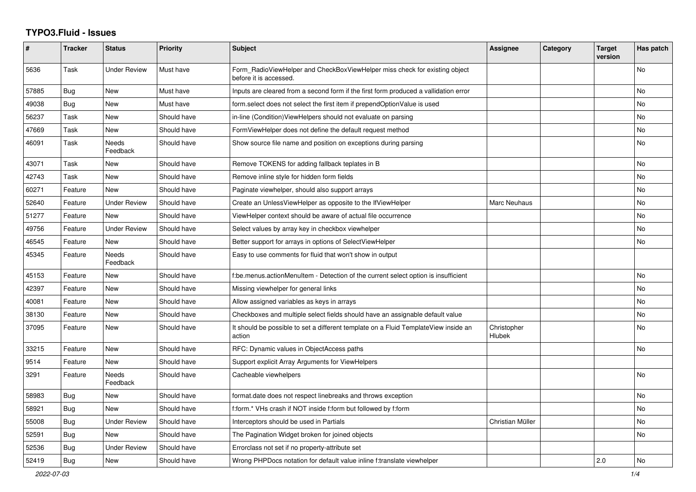## **TYPO3.Fluid - Issues**

| $\pmb{\#}$ | <b>Tracker</b> | <b>Status</b>            | <b>Priority</b> | Subject                                                                                              | Assignee              | Category | <b>Target</b><br>version | Has patch |
|------------|----------------|--------------------------|-----------------|------------------------------------------------------------------------------------------------------|-----------------------|----------|--------------------------|-----------|
| 5636       | Task           | <b>Under Review</b>      | Must have       | Form RadioViewHelper and CheckBoxViewHelper miss check for existing object<br>before it is accessed. |                       |          |                          | <b>No</b> |
| 57885      | <b>Bug</b>     | New                      | Must have       | Inputs are cleared from a second form if the first form produced a vallidation error                 |                       |          |                          | <b>No</b> |
| 49038      | Bug            | <b>New</b>               | Must have       | form.select does not select the first item if prependOptionValue is used                             |                       |          |                          | <b>No</b> |
| 56237      | Task           | New                      | Should have     | in-line (Condition) View Helpers should not evaluate on parsing                                      |                       |          |                          | No        |
| 47669      | Task           | New                      | Should have     | FormViewHelper does not define the default request method                                            |                       |          |                          | No        |
| 46091      | Task           | <b>Needs</b><br>Feedback | Should have     | Show source file name and position on exceptions during parsing                                      |                       |          |                          | <b>No</b> |
| 43071      | Task           | New                      | Should have     | Remove TOKENS for adding fallback teplates in B                                                      |                       |          |                          | No        |
| 42743      | Task           | <b>New</b>               | Should have     | Remove inline style for hidden form fields                                                           |                       |          |                          | <b>No</b> |
| 60271      | Feature        | <b>New</b>               | Should have     | Paginate viewhelper, should also support arrays                                                      |                       |          |                          | No        |
| 52640      | Feature        | <b>Under Review</b>      | Should have     | Create an UnlessViewHelper as opposite to the IfViewHelper                                           | Marc Neuhaus          |          |                          | <b>No</b> |
| 51277      | Feature        | <b>New</b>               | Should have     | ViewHelper context should be aware of actual file occurrence                                         |                       |          |                          | No        |
| 49756      | Feature        | <b>Under Review</b>      | Should have     | Select values by array key in checkbox viewhelper                                                    |                       |          |                          | No        |
| 46545      | Feature        | New                      | Should have     | Better support for arrays in options of SelectViewHelper                                             |                       |          |                          | No        |
| 45345      | Feature        | Needs<br>Feedback        | Should have     | Easy to use comments for fluid that won't show in output                                             |                       |          |                          |           |
| 45153      | Feature        | <b>New</b>               | Should have     | f:be.menus.actionMenuItem - Detection of the current select option is insufficient                   |                       |          |                          | <b>No</b> |
| 42397      | Feature        | New                      | Should have     | Missing viewhelper for general links                                                                 |                       |          |                          | No        |
| 40081      | Feature        | New                      | Should have     | Allow assigned variables as keys in arrays                                                           |                       |          |                          | No        |
| 38130      | Feature        | New                      | Should have     | Checkboxes and multiple select fields should have an assignable default value                        |                       |          |                          | No        |
| 37095      | Feature        | New                      | Should have     | It should be possible to set a different template on a Fluid TemplateView inside an<br>action        | Christopher<br>Hlubek |          |                          | No        |
| 33215      | Feature        | <b>New</b>               | Should have     | RFC: Dynamic values in ObjectAccess paths                                                            |                       |          |                          | No        |
| 9514       | Feature        | New                      | Should have     | Support explicit Array Arguments for ViewHelpers                                                     |                       |          |                          |           |
| 3291       | Feature        | <b>Needs</b><br>Feedback | Should have     | Cacheable viewhelpers                                                                                |                       |          |                          | <b>No</b> |
| 58983      | Bug            | <b>New</b>               | Should have     | format.date does not respect linebreaks and throws exception                                         |                       |          |                          | No        |
| 58921      | <b>Bug</b>     | <b>New</b>               | Should have     | f:form.* VHs crash if NOT inside f:form but followed by f:form                                       |                       |          |                          | <b>No</b> |
| 55008      | <b>Bug</b>     | <b>Under Review</b>      | Should have     | Interceptors should be used in Partials                                                              | Christian Müller      |          |                          | No        |
| 52591      | <b>Bug</b>     | <b>New</b>               | Should have     | The Pagination Widget broken for joined objects                                                      |                       |          |                          | No        |
| 52536      | Bug            | <b>Under Review</b>      | Should have     | Errorclass not set if no property-attribute set                                                      |                       |          |                          |           |
| 52419      | Bug            | New                      | Should have     | Wrong PHPDocs notation for default value inline f:translate viewhelper                               |                       |          | 2.0                      | No        |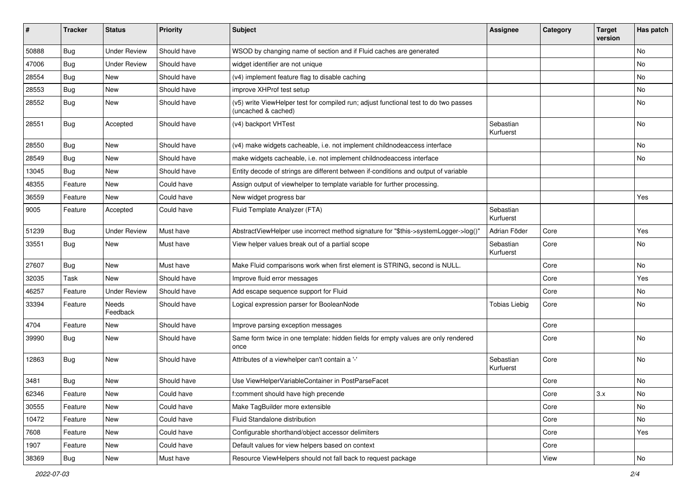| #     | <b>Tracker</b> | <b>Status</b>            | <b>Priority</b> | <b>Subject</b>                                                                                              | <b>Assignee</b>        | Category | <b>Target</b><br>version | Has patch |
|-------|----------------|--------------------------|-----------------|-------------------------------------------------------------------------------------------------------------|------------------------|----------|--------------------------|-----------|
| 50888 | Bug            | <b>Under Review</b>      | Should have     | WSOD by changing name of section and if Fluid caches are generated                                          |                        |          |                          | No        |
| 47006 | Bug            | <b>Under Review</b>      | Should have     | widget identifier are not unique                                                                            |                        |          |                          | No        |
| 28554 | <b>Bug</b>     | New                      | Should have     | (v4) implement feature flag to disable caching                                                              |                        |          |                          | No        |
| 28553 | Bug            | New                      | Should have     | improve XHProf test setup                                                                                   |                        |          |                          | No        |
| 28552 | Bug            | New                      | Should have     | (v5) write ViewHelper test for compiled run; adjust functional test to do two passes<br>(uncached & cached) |                        |          |                          | No        |
| 28551 | Bug            | Accepted                 | Should have     | (v4) backport VHTest                                                                                        | Sebastian<br>Kurfuerst |          |                          | No        |
| 28550 | Bug            | New                      | Should have     | (v4) make widgets cacheable, i.e. not implement childnodeaccess interface                                   |                        |          |                          | No        |
| 28549 | <b>Bug</b>     | New                      | Should have     | make widgets cacheable, i.e. not implement childnodeaccess interface                                        |                        |          |                          | No        |
| 13045 | <b>Bug</b>     | New                      | Should have     | Entity decode of strings are different between if-conditions and output of variable                         |                        |          |                          |           |
| 48355 | Feature        | New                      | Could have      | Assign output of viewhelper to template variable for further processing.                                    |                        |          |                          |           |
| 36559 | Feature        | New                      | Could have      | New widget progress bar                                                                                     |                        |          |                          | Yes       |
| 9005  | Feature        | Accepted                 | Could have      | Fluid Template Analyzer (FTA)                                                                               | Sebastian<br>Kurfuerst |          |                          |           |
| 51239 | <b>Bug</b>     | <b>Under Review</b>      | Must have       | AbstractViewHelper use incorrect method signature for "\$this->systemLogger->log()"                         | Adrian Föder           | Core     |                          | Yes       |
| 33551 | Bug            | New                      | Must have       | View helper values break out of a partial scope                                                             | Sebastian<br>Kurfuerst | Core     |                          | No        |
| 27607 | <b>Bug</b>     | New                      | Must have       | Make Fluid comparisons work when first element is STRING, second is NULL.                                   |                        | Core     |                          | No        |
| 32035 | Task           | <b>New</b>               | Should have     | Improve fluid error messages                                                                                |                        | Core     |                          | Yes       |
| 46257 | Feature        | <b>Under Review</b>      | Should have     | Add escape sequence support for Fluid                                                                       |                        | Core     |                          | No        |
| 33394 | Feature        | <b>Needs</b><br>Feedback | Should have     | Logical expression parser for BooleanNode                                                                   | <b>Tobias Liebig</b>   | Core     |                          | No        |
| 4704  | Feature        | New                      | Should have     | Improve parsing exception messages                                                                          |                        | Core     |                          |           |
| 39990 | Bug            | New                      | Should have     | Same form twice in one template: hidden fields for empty values are only rendered<br>once                   |                        | Core     |                          | No        |
| 12863 | <b>Bug</b>     | New                      | Should have     | Attributes of a viewhelper can't contain a '-'                                                              | Sebastian<br>Kurfuerst | Core     |                          | No        |
| 3481  | Bug            | New                      | Should have     | Use ViewHelperVariableContainer in PostParseFacet                                                           |                        | Core     |                          | No        |
| 62346 | Feature        | New                      | Could have      | f:comment should have high precende                                                                         |                        | Core     | 3.x                      | No        |
| 30555 | Feature        | New                      | Could have      | Make TagBuilder more extensible                                                                             |                        | Core     |                          | No        |
| 10472 | Feature        | New                      | Could have      | Fluid Standalone distribution                                                                               |                        | Core     |                          | No        |
| 7608  | Feature        | New                      | Could have      | Configurable shorthand/object accessor delimiters                                                           |                        | Core     |                          | Yes       |
| 1907  | Feature        | New                      | Could have      | Default values for view helpers based on context                                                            |                        | Core     |                          |           |
| 38369 | Bug            | New                      | Must have       | Resource ViewHelpers should not fall back to request package                                                |                        | View     |                          | No        |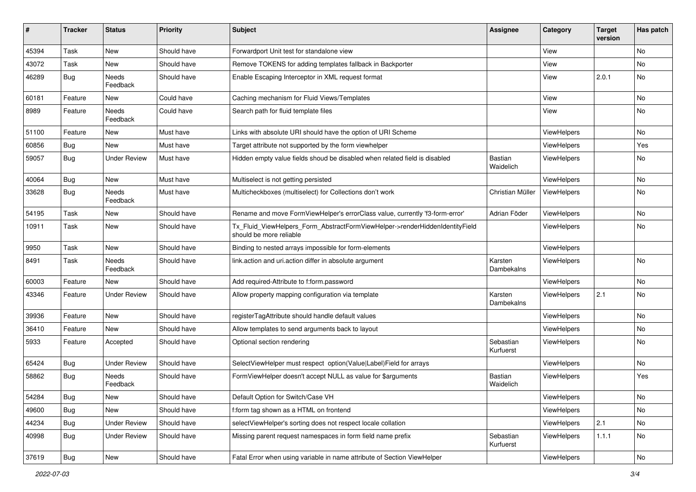| #     | <b>Tracker</b> | <b>Status</b>            | <b>Priority</b> | Subject                                                                                                | <b>Assignee</b>             | Category    | <b>Target</b><br>version | Has patch     |
|-------|----------------|--------------------------|-----------------|--------------------------------------------------------------------------------------------------------|-----------------------------|-------------|--------------------------|---------------|
| 45394 | Task           | New                      | Should have     | Forwardport Unit test for standalone view                                                              |                             | View        |                          | <b>No</b>     |
| 43072 | Task           | New                      | Should have     | Remove TOKENS for adding templates fallback in Backporter                                              |                             | View        |                          | No            |
| 46289 | Bug            | Needs<br>Feedback        | Should have     | Enable Escaping Interceptor in XML request format                                                      |                             | View        | 2.0.1                    | No            |
| 60181 | Feature        | New                      | Could have      | Caching mechanism for Fluid Views/Templates                                                            |                             | View        |                          | No            |
| 8989  | Feature        | <b>Needs</b><br>Feedback | Could have      | Search path for fluid template files                                                                   |                             | View        |                          | No            |
| 51100 | Feature        | New                      | Must have       | Links with absolute URI should have the option of URI Scheme                                           |                             | ViewHelpers |                          | No            |
| 60856 | Bug            | New                      | Must have       | Target attribute not supported by the form viewhelper                                                  |                             | ViewHelpers |                          | Yes           |
| 59057 | Bug            | <b>Under Review</b>      | Must have       | Hidden empty value fields shoud be disabled when related field is disabled                             | <b>Bastian</b><br>Waidelich | ViewHelpers |                          | No            |
| 40064 | Bug            | New                      | Must have       | Multiselect is not getting persisted                                                                   |                             | ViewHelpers |                          | <b>No</b>     |
| 33628 | Bug            | Needs<br>Feedback        | Must have       | Multicheckboxes (multiselect) for Collections don't work                                               | Christian Müller            | ViewHelpers |                          | No            |
| 54195 | Task           | New                      | Should have     | Rename and move FormViewHelper's errorClass value, currently 'f3-form-error'                           | Adrian Föder                | ViewHelpers |                          | No            |
| 10911 | Task           | New                      | Should have     | Tx_Fluid_ViewHelpers_Form_AbstractFormViewHelper->renderHiddenIdentityField<br>should be more reliable |                             | ViewHelpers |                          | <b>No</b>     |
| 9950  | Task           | New                      | Should have     | Binding to nested arrays impossible for form-elements                                                  |                             | ViewHelpers |                          |               |
| 8491  | Task           | Needs<br>Feedback        | Should have     | link.action and uri.action differ in absolute argument                                                 | Karsten<br>Dambekalns       | ViewHelpers |                          | <b>No</b>     |
| 60003 | Feature        | <b>New</b>               | Should have     | Add required-Attribute to f:form.password                                                              |                             | ViewHelpers |                          | No            |
| 43346 | Feature        | <b>Under Review</b>      | Should have     | Allow property mapping configuration via template                                                      | Karsten<br>Dambekalns       | ViewHelpers | 2.1                      | No            |
| 39936 | Feature        | New                      | Should have     | registerTagAttribute should handle default values                                                      |                             | ViewHelpers |                          | No            |
| 36410 | Feature        | <b>New</b>               | Should have     | Allow templates to send arguments back to layout                                                       |                             | ViewHelpers |                          | <b>No</b>     |
| 5933  | Feature        | Accepted                 | Should have     | Optional section rendering                                                                             | Sebastian<br>Kurfuerst      | ViewHelpers |                          | No            |
| 65424 | Bug            | <b>Under Review</b>      | Should have     | SelectViewHelper must respect option(Value Label)Field for arrays                                      |                             | ViewHelpers |                          | No            |
| 58862 | Bug            | Needs<br>Feedback        | Should have     | FormViewHelper doesn't accept NULL as value for \$arguments                                            | Bastian<br>Waidelich        | ViewHelpers |                          | Yes           |
| 54284 | Bug            | New                      | Should have     | Default Option for Switch/Case VH                                                                      |                             | ViewHelpers |                          | No            |
| 49600 | <b>Bug</b>     | New                      | Should have     | f:form tag shown as a HTML on frontend                                                                 |                             | ViewHelpers |                          | No            |
| 44234 | Bug            | <b>Under Review</b>      | Should have     | selectViewHelper's sorting does not respect locale collation                                           |                             | ViewHelpers | 2.1                      | No            |
| 40998 | Bug            | <b>Under Review</b>      | Should have     | Missing parent request namespaces in form field name prefix                                            | Sebastian<br>Kurfuerst      | ViewHelpers | 1.1.1                    | No            |
| 37619 | <b>Bug</b>     | New                      | Should have     | Fatal Error when using variable in name attribute of Section ViewHelper                                |                             | ViewHelpers |                          | $\mathsf{No}$ |